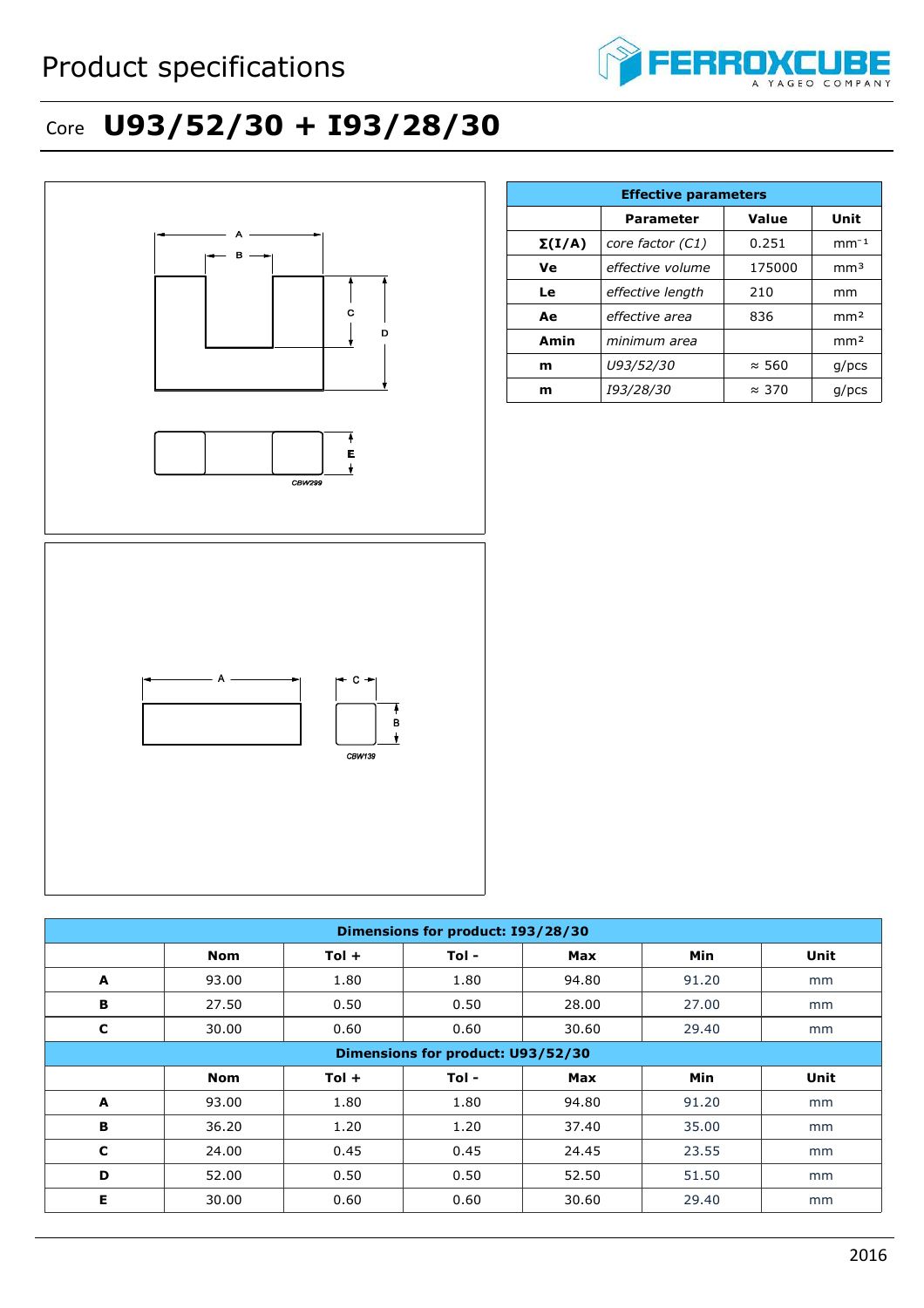

## Core **U93/52/30 + I93/28/30**



**A** | 93.00 | 1.80 | 1.80 | 94.80 | 91.20 | mm **B** | 36.20 | 1.20 | 1.20 | 37.40 | 35.00 | mm **C** | 24.00 | 0.45 | 0.45 | 24.45 | 23.55 | mm **D** | 52.00 | 0.50 | 0.50 | 52.50 | 51.50 | mm **E** | 30.00 | 0.60 | 0.60 | 30.60 | 29.40 | mm